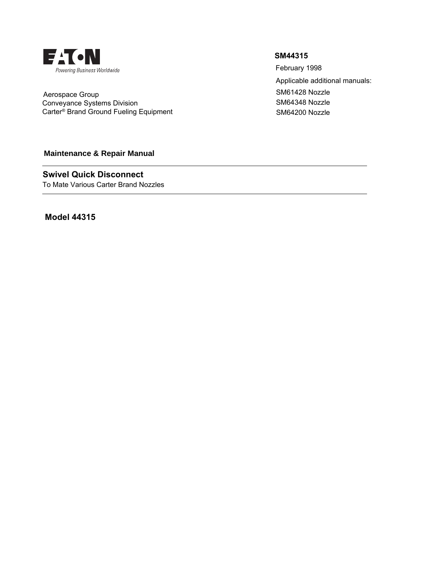

 Aerospace Group Conveyance Systems Division Carter® Brand Ground Fueling Equipment

# **Maintenance & Repair Manual**

To Mate Various Carter Brand Nozzles **Swivel Quick Disconnect**

**Model 44315**

# **SM44315**

SM64200 Nozzle SM61428 Nozzle SM64348 Nozzle Applicable additional manuals: February 1998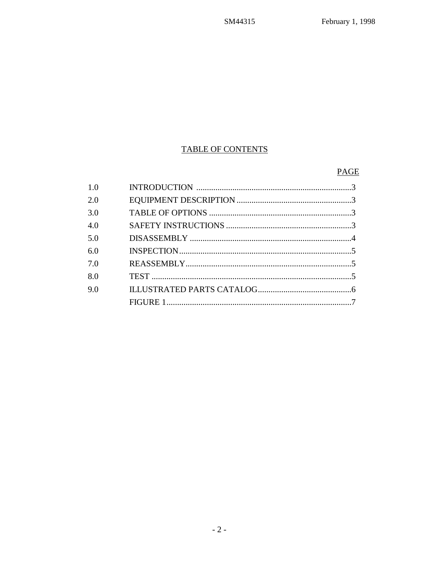# TABLE OF CONTENTS

# PAGE

| 1.0 |  |
|-----|--|
| 2.0 |  |
| 3.0 |  |
| 4.0 |  |
| 5.0 |  |
| 6.0 |  |
| 7.0 |  |
| 8.0 |  |
| 9.0 |  |
|     |  |
|     |  |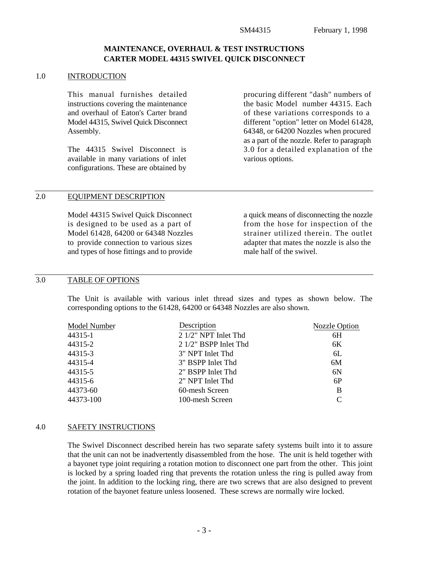## **MAINTENANCE, OVERHAUL & TEST INSTRUCTIONS CARTER MODEL 44315 SWIVEL QUICK DISCONNECT**

#### 1.0 INTRODUCTION

This manual furnishes detailed instructions covering the maintenance and overhaul of Eaton's Carter brand Model 44315, Swivel Quick Disconnect Assembly.

The 44315 Swivel Disconnect is available in many variations of inlet configurations. These are obtained by procuring different "dash" numbers of the basic Model number 44315. Each of these variations corresponds to a different "option" letter on Model 61428, 64348, or 64200 Nozzles when procured as a part of the nozzle. Refer to paragraph 3.0 for a detailed explanation of the various options.

# 2.0 EQUIPMENT DESCRIPTION

Model 44315 Swivel Quick Disconnect is designed to be used as a part of Model 61428, 64200 or 64348 Nozzles to provide connection to various sizes and types of hose fittings and to provide a quick means of disconnecting the nozzle from the hose for inspection of the strainer utilized therein. The outlet adapter that mates the nozzle is also the male half of the swivel.

#### 3.0 TABLE OF OPTIONS

The Unit is available with various inlet thread sizes and types as shown below. The corresponding options to the 61428, 64200 or 64348 Nozzles are also shown.

| Model Number | Description            | Nozzle Option |
|--------------|------------------------|---------------|
| 44315-1      | $21/2$ " NPT Inlet Thd | 6H            |
| 44315-2      | 2 1/2" BSPP Inlet Thd  | 6K            |
| 44315-3      | 3" NPT Inlet Thd       | 6L            |
| 44315-4      | 3" BSPP Inlet Thd      | 6M            |
| 44315-5      | 2" BSPP Inlet Thd      | 6N            |
| 44315-6      | 2" NPT Inlet Thd       | 6P            |
| 44373-60     | 60-mesh Screen         | B             |
| 44373-100    | 100-mesh Screen        | C             |

#### 4.0 SAFETY INSTRUCTIONS

The Swivel Disconnect described herein has two separate safety systems built into it to assure that the unit can not be inadvertently disassembled from the hose. The unit is held together with a bayonet type joint requiring a rotation motion to disconnect one part from the other. This joint is locked by a spring loaded ring that prevents the rotation unless the ring is pulled away from the joint. In addition to the locking ring, there are two screws that are also designed to prevent rotation of the bayonet feature unless loosened. These screws are normally wire locked.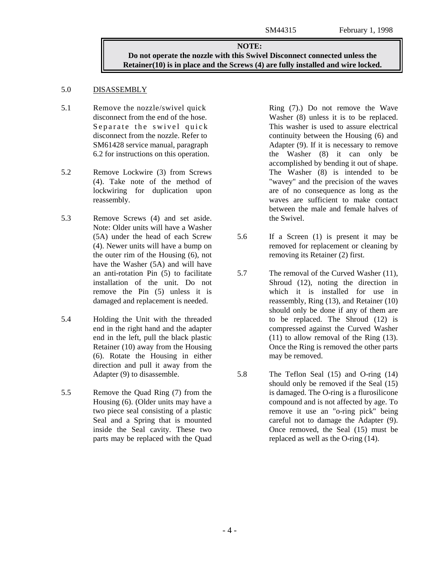### **NOTE: Do not operate the nozzle with this Swivel Disconnect connected unless the Retainer(10) is in place and the Screws (4) are fully installed and wire locked.**

#### 5.0 DISASSEMBLY

- 5.1 Remove the nozzle/swivel quick disconnect from the end of the hose. Separate the swivel quick disconnect from the nozzle. Refer to SM61428 service manual, paragraph 6.2 for instructions on this operation.
- 5.2 Remove Lockwire (3) from Screws (4). Take note of the method of lockwiring for duplication upon reassembly.
- 5.3 Remove Screws (4) and set aside. Note: Older units will have a Washer (5A) under the head of each Screw (4). Newer units will have a bump on the outer rim of the Housing (6), not have the Washer (5A) and will have an anti-rotation Pin (5) to facilitate installation of the unit. Do not remove the Pin (5) unless it is damaged and replacement is needed.
- 5.4 Holding the Unit with the threaded end in the right hand and the adapter end in the left, pull the black plastic Retainer (10) away from the Housing (6). Rotate the Housing in either direction and pull it away from the Adapter (9) to disassemble.
- 5.5 Remove the Quad Ring (7) from the Housing (6). (Older units may have a two piece seal consisting of a plastic Seal and a Spring that is mounted inside the Seal cavity. These two parts may be replaced with the Quad

Ring (7).) Do not remove the Wave Washer (8) unless it is to be replaced. This washer is used to assure electrical continuity between the Housing (6) and Adapter (9). If it is necessary to remove the Washer (8) it can only be accomplished by bending it out of shape. The Washer (8) is intended to be "wavey" and the precision of the waves are of no consequence as long as the waves are sufficient to make contact between the male and female halves of the Swivel.

- 5.6 If a Screen (1) is present it may be removed for replacement or cleaning by removing its Retainer (2) first.
- 5.7 The removal of the Curved Washer (11), Shroud (12), noting the direction in which it is installed for use in reassembly, Ring (13), and Retainer (10) should only be done if any of them are to be replaced. The Shroud (12) is compressed against the Curved Washer (11) to allow removal of the Ring (13). Once the Ring is removed the other parts may be removed.
- 5.8 The Teflon Seal (15) and O-ring (14) should only be removed if the Seal (15) is damaged. The O-ring is a flurosilicone compound and is not affected by age. To remove it use an "o-ring pick" being careful not to damage the Adapter (9). Once removed, the Seal (15) must be replaced as well as the O-ring (14).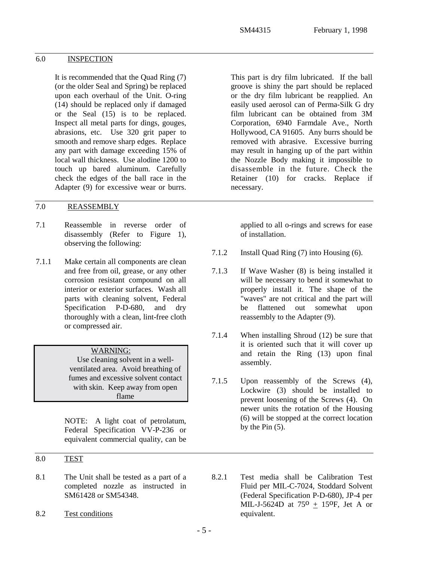# 6.0 INSPECTION

It is recommended that the Quad Ring (7) (or the older Seal and Spring) be replaced upon each overhaul of the Unit. O-ring (14) should be replaced only if damaged or the Seal (15) is to be replaced. Inspect all metal parts for dings, gouges, abrasions, etc. Use 320 grit paper to smooth and remove sharp edges. Replace any part with damage exceeding 15% of local wall thickness. Use alodine 1200 to touch up bared aluminum. Carefully check the edges of the ball race in the Adapter (9) for excessive wear or burrs.

## 7.0 REASSEMBLY

- 7.1 Reassemble in reverse order of disassembly (Refer to Figure 1), observing the following:
- 7.1.1 Make certain all components are clean and free from oil, grease, or any other corrosion resistant compound on all interior or exterior surfaces. Wash all parts with cleaning solvent, Federal Specification P-D-680, and dry thoroughly with a clean, lint-free cloth or compressed air.

## WARNING:

Use cleaning solvent in a wellventilated area. Avoid breathing of fumes and excessive solvent contact with skin. Keep away from open flame

NOTE: A light coat of petrolatum, Federal Specification VV-P-236 or equivalent commercial quality, can be

- 8.0 TEST
- 8.1 The Unit shall be tested as a part of a completed nozzle as instructed in SM61428 or SM54348.
- 8.2 Test conditions

This part is dry film lubricated. If the ball groove is shiny the part should be replaced or the dry film lubricant be reapplied. An easily used aerosol can of Perma-Silk G dry film lubricant can be obtained from 3M Corporation, 6940 Farmdale Ave., North Hollywood, CA 91605. Any burrs should be removed with abrasive. Excessive burring may result in hanging up of the part within the Nozzle Body making it impossible to disassemble in the future. Check the Retainer (10) for cracks. Replace if necessary.

applied to all o-rings and screws for ease of installation.

- 7.1.2 Install Quad Ring (7) into Housing (6).
- 7.1.3 If Wave Washer (8) is being installed it will be necessary to bend it somewhat to properly install it. The shape of the "waves" are not critical and the part will be flattened out somewhat upon reassembly to the Adapter (9).
- 7.1.4 When installing Shroud (12) be sure that it is oriented such that it will cover up and retain the Ring (13) upon final assembly.
- 7.1.5 Upon reassembly of the Screws (4), Lockwire (3) should be installed to prevent loosening of the Screws (4). On newer units the rotation of the Housing (6) will be stopped at the correct location by the Pin (5).
- 8.2.1 Test media shall be Calibration Test Fluid per MIL-C-7024, Stoddard Solvent (Federal Specification P-D-680), JP-4 per MIL-J-5624D at  $75^{\circ}$  + 15<sup>o</sup>F, Jet A or equivalent.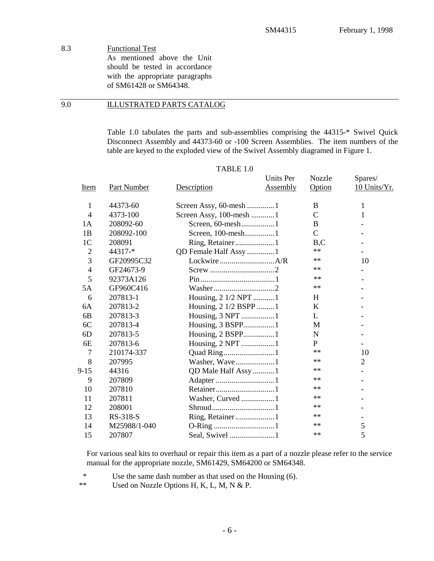8.3 Functional Test As mentioned above the Unit should be tested in accordance with the appropriate paragraphs of SM61428 or SM64348.

9.0 ILLUSTRATED PARTS CATALOG

Table 1.0 tabulates the parts and sub-assemblies comprising the 44315-\* Swivel Quick Disconnect Assembly and 44373-60 or -100 Screen Assemblies. The item numbers of the table are keyed to the exploded view of the Swivel Assembly diagramed in Figure 1.

|                |                    |                         | <b>Units Per</b> | <b>Nozzle</b> | Spares/                  |
|----------------|--------------------|-------------------------|------------------|---------------|--------------------------|
| Item           | <b>Part Number</b> | Description             | <b>Assembly</b>  | Option        | 10 Units/Yr.             |
| $\mathbf{1}$   | 44373-60           | Screen Assy, 60-mesh 1  |                  | B             | 1                        |
| $\overline{4}$ | 4373-100           | Screen Assy, 100-mesh 1 |                  | $\mathsf{C}$  | 1                        |
| 1A             | 208092-60          |                         |                  | B             |                          |
| 1B             | 208092-100         | Screen, 100-mesh1       |                  | $\mathsf{C}$  |                          |
| 1 <sub>C</sub> | 208091             | Ring, Retainer1         |                  | B, C          |                          |
| $\overline{2}$ | 44317-*            | QD Female Half Assy 1   |                  | $**$          |                          |
| 3              | GF20995C32         |                         |                  | $**$          | 10                       |
| $\overline{4}$ | GF24673-9          |                         |                  | **            |                          |
| 5              | 92373A126          |                         |                  | **            |                          |
| 5A             | GF960C416          |                         |                  | $\ast\ast$    |                          |
| 6              | 207813-1           | Housing, 2 1/2 NPT 1    |                  | H             |                          |
| 6A             | 207813-2           | Housing, 2 1/2 BSPP 1   |                  | K             |                          |
| 6B             | 207813-3           | Housing, 3 NPT 1        |                  | L             |                          |
| 6C             | 207813-4           | Housing, 3 BSPP1        |                  | M             |                          |
| 6 <sub>D</sub> | 207813-5           | Housing, 2 BSPP1        |                  | N             |                          |
| 6E             | 207813-6           | Housing, 2 NPT 1        |                  | P             |                          |
| 7              | 210174-337         | Quad Ring1              |                  | $**$          | 10                       |
| 8              | 207995             | Washer, Wave1           |                  | $**$          | 2                        |
| $9-15$         | 44316              | QD Male Half Assy 1     |                  | $***$         |                          |
| 9              | 207809             | Adapter 1               |                  | $**$          |                          |
| 10             | 207810             |                         |                  | $**$          |                          |
| 11             | 207811             | Washer, Curved 1        |                  | $**$          |                          |
| 12             | 208001             |                         |                  | $***$         |                          |
| 13             | RS-318-S           | Ring, Retainer1         |                  | $***$         | $\overline{\phantom{a}}$ |
| 14             | M25988/1-040       |                         |                  | $**$          | 5                        |
| 15             | 207807             | Seal, Swivel 1          |                  | **            | 5                        |

TABLE 1.0

For various seal kits to overhaul or repair this item as a part of a nozzle please refer to the service manual for the appropriate nozzle, SM61429, SM64200 or SM64348.

\* Use the same dash number as that used on the Housing (6).

\*\* Used on Nozzle Options H, K, L, M, N & P.